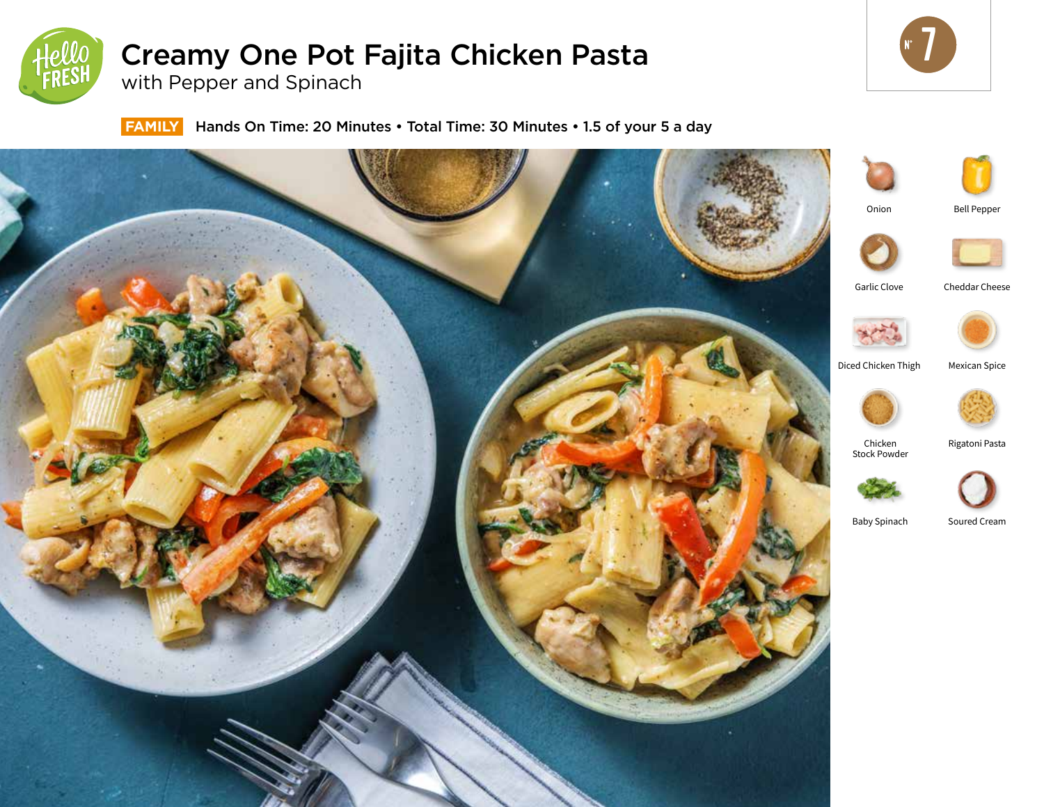

# Creamy One Pot Fajita Chicken Pasta

with Pepper and Spinach



**FAMILY** Hands On Time: 20 Minutes • Total Time: 30 Minutes • 1.5 of your 5 a day